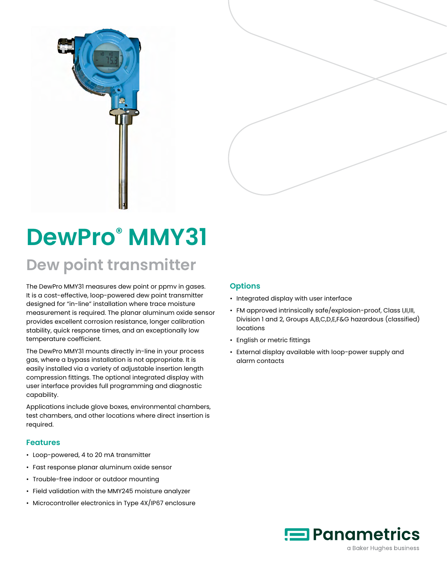



# **DewPro® MMY31 Dew point transmitter**

The DewPro MMY31 measures dew point or ppmv in gases. It is a cost-effective, loop-powered dew point transmitter designed for "in-line" installation where trace moisture measurement is required. The planar aluminum oxide sensor provides excellent corrosion resistance, longer calibration stability, quick response times, and an exceptionally low temperature coefficient.

The DewPro MMY31 mounts directly in-line in your process gas, where a bypass installation is not appropriate. It is easily installed via a variety of adjustable insertion length compression fittings. The optional integrated display with user interface provides full programming and diagnostic capability.

Applications include glove boxes, environmental chambers, test chambers, and other locations where direct insertion is required.

#### **Features**

- Loop-powered, 4 to 20 mA transmitter
- Fast response planar aluminum oxide sensor
- Trouble-free indoor or outdoor mounting
- Field validation with the MMY245 moisture analyzer
- Microcontroller electronics in Type 4X/IP67 enclosure

### **Options**

- Integrated display with user interface
- FM approved intrinsically safe/explosion-proof, Class I,II,III, Division 1 and 2, Groups A,B,C,D,E,F&G hazardous (classified) locations
- English or metric fittings
- External display available with loop-power supply and alarm contacts



a Baker Hughes business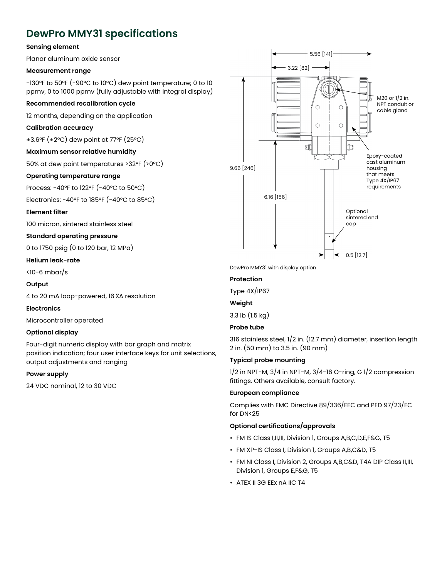## **DewPro MMY31 specifications**

#### **Sensing element**

Planar aluminum oxide sensor

#### **Measurement range**

-130°F to 50°F (-90°C to 10°C) dew point temperature; 0 to 10 ppmv, 0 to 1000 ppmv (fully adjustable with integral display)

#### **Recommended recalibration cycle**

12 months, depending on the application

#### **Calibration accuracy**

±3.6°F (±2°C) dew point at 77°F (25°C)

#### **Maximum sensor relative humidity**

50% at dew point temperatures >32°F (>0°C)

#### **Operating temperature range**

Process: -40°F to 122°F (-40°C to 50°C)

Electronics: -40°F to 185°F (-40°C to 85°C)

#### **Element filter**

100 micron, sintered stainless steel

#### **Standard operating pressure**

0 to 1750 psig (0 to 120 bar, 12 MPa)

#### **Helium leak-rate**

<10-6 mbar/s

#### **Output**

4 to 20 mA loop-powered, 16 μA resolution

#### **Electronics**

Microcontroller operated

#### **Optional display**

Four-digit numeric display with bar graph and matrix position indication; four user interface keys for unit selections, output adjustments and ranging

#### **Power supply**

24 VDC nominal, 12 to 30 VDC



DewPro MMY31 with display option

#### **Protection**

Type 4X/IP67

**Weight**

3.3 lb (1.5 kg)

#### **Probe tube**

316 stainless steel, 1/2 in. (12.7 mm) diameter, insertion length 2 in. (50 mm) to 3.5 in. (90 mm)

#### **Typical probe mounting**

 $1/2$  in NPT-M,  $3/4$  in NPT-M,  $3/4$ -16 O-ring, G  $1/2$  compression fittings. Others available, consult factory.

#### **European compliance**

Complies with EMC Directive 89/336/EEC and PED 97/23/EC for DN<25

#### **Optional certifications/approvals**

- FM IS Class I,II,III, Division 1, Groups A,B,C,D,E,F&G, T5
- FM XP-IS Class I, Division 1, Groups A,B,C&D, T5
- FM NI Class I, Division 2, Groups A,B,C&D, T4A DIP Class II,III, Division 1, Groups E,F&G, T5
- ATEX II 3G EEx nA IIC T4